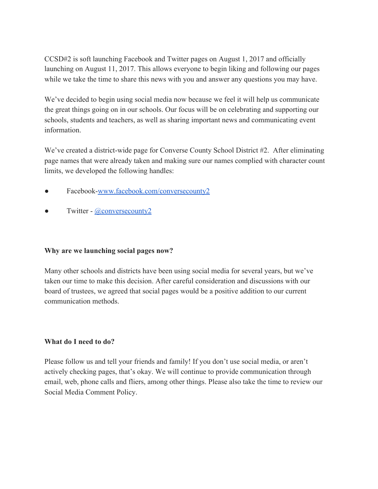CCSD#2 is soft launching Facebook and Twitter pages on August 1, 2017 and officially launching on August 11, 2017. This allows everyone to begin liking and following our pages while we take the time to share this news with you and answer any questions you may have.

We've decided to begin using social media now because we feel it will help us communicate the great things going on in our schools. Our focus will be on celebrating and supporting our schools, students and teachers, as well as sharing important news and communicating event information.

We've created a district-wide page for Converse County School District #2. After eliminating page names that were already taken and making sure our names complied with character count limits, we developed the following handles:

- Facebook[-www.facebook.com/conversecounty2](http://www.facebook.com/conversecounty2)
- Twitter  $\omega$  conversecounty 2

## **Why are we launching social pages now?**

Many other schools and districts have been using social media for several years, but we've taken our time to make this decision. After careful consideration and discussions with our board of trustees, we agreed that social pages would be a positive addition to our current communication methods.

## **What do I need to do?**

Please follow us and tell your friends and family! If you don't use social media, or aren't actively checking pages, that's okay. We will continue to provide communication through email, web, phone calls and fliers, among other things. Please also take the time to review our Social Media Comment Policy.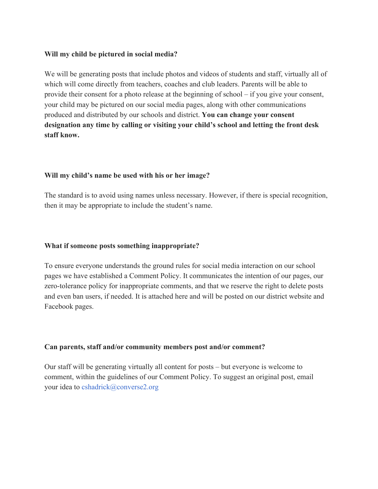#### **Will my child be pictured in social media?**

We will be generating posts that include photos and videos of students and staff, virtually all of which will come directly from teachers, coaches and club leaders. Parents will be able to provide their consent for a photo release at the beginning of school – if you give your consent, your child may be pictured on our social media pages, along with other communications produced and distributed by our schools and district. **You can change your consent designation any time by calling or visiting your child's school and letting the front desk staff know.**

#### **Will my child's name be used with his or her image?**

The standard is to avoid using names unless necessary. However, if there is special recognition, then it may be appropriate to include the student's name.

### **What if someone posts something inappropriate?**

To ensure everyone understands the ground rules for social media interaction on our school pages we have established a Comment Policy. It communicates the intention of our pages, our zero-tolerance policy for inappropriate comments, and that we reserve the right to delete posts and even ban users, if needed. It is attached here and will be posted on our district website and Facebook pages.

#### **Can parents, staff and/or community members post and/or comment?**

Our staff will be generating virtually all content for posts – but everyone is welcome to comment, within the guidelines of our Comment Policy. To suggest an original post, email your idea to cshadrick@converse2.org